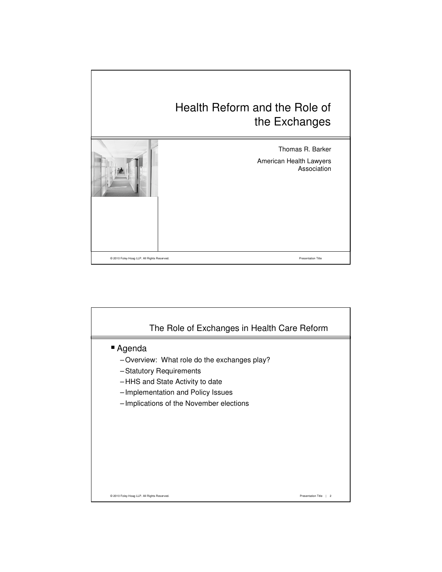## Health Reform and the Role of the Exchanges



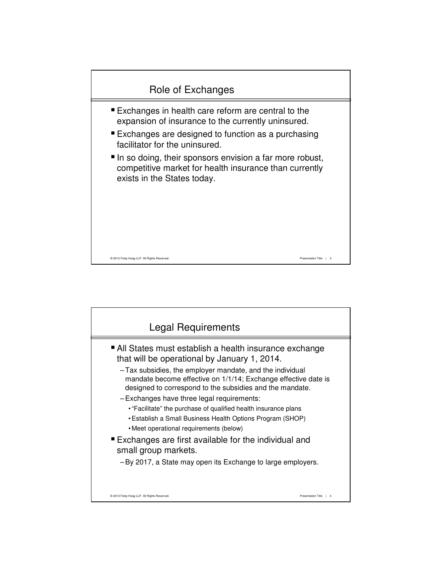

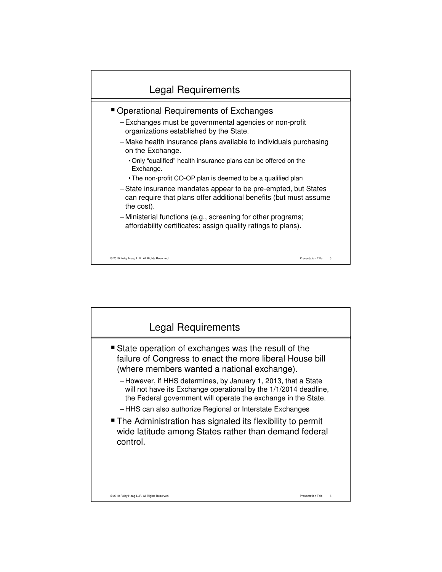

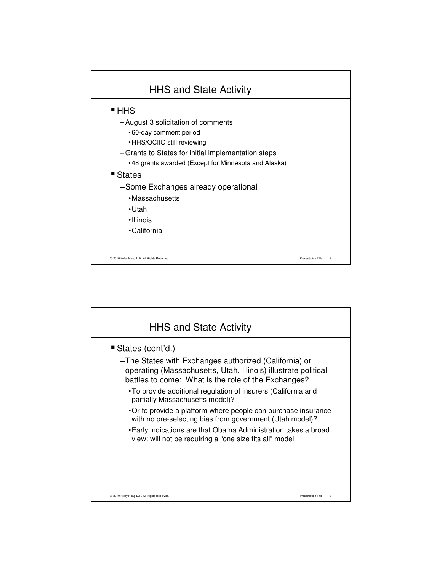

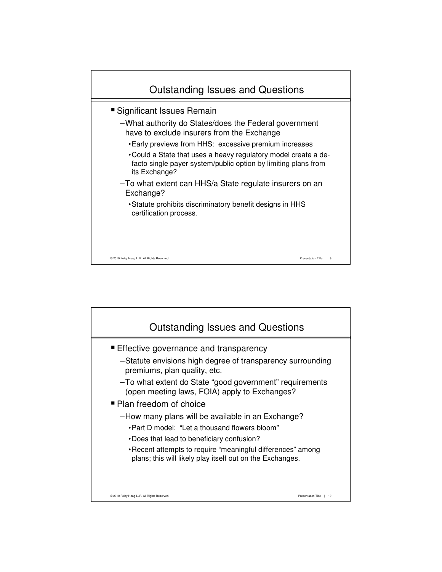